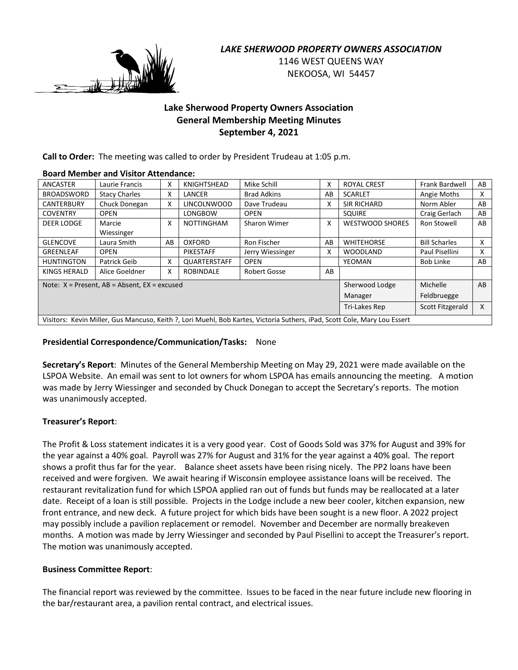

## *LAKE SHERWOOD PROPERTY OWNERS ASSOCIATION*

1146 WEST QUEENS WAY NEKOOSA, WI 54457

## **Lake Sherwood Property Owners Association General Membership Meeting Minutes September 4, 2021**

**Call to Order:** The meeting was called to order by President Trudeau at 1:05 p.m.

## **Board Member and Visitor Attendance:**

| ANCASTER                                                                                                                  | Laurie Francis       | x                      | KNIGHTSHEAD        | Mike Schill        | x  | <b>ROYAL CREST</b>     | <b>Frank Bardwell</b> | AB |
|---------------------------------------------------------------------------------------------------------------------------|----------------------|------------------------|--------------------|--------------------|----|------------------------|-----------------------|----|
| <b>BROADSWORD</b>                                                                                                         | <b>Stacy Charles</b> | Χ                      | LANCER             | <b>Brad Adkins</b> | AB | <b>SCARLET</b>         | Angie Moths           | x  |
| <b>CANTERBURY</b>                                                                                                         | Chuck Donegan        | X                      | <b>LINCOLNWOOD</b> | Dave Trudeau       | x  | <b>SIR RICHARD</b>     | Norm Abler            | AB |
| <b>COVENTRY</b>                                                                                                           | <b>OPEN</b>          |                        | LONGBOW            | <b>OPEN</b>        |    | <b>SQUIRE</b>          | Craig Gerlach         | AB |
| <b>DEER LODGE</b>                                                                                                         | Marcie               | X                      | <b>NOTTINGHAM</b>  | Sharon Wimer       | x  | <b>WESTWOOD SHORES</b> | Ron Stowell           | AB |
|                                                                                                                           | Wiessinger           |                        |                    |                    |    |                        |                       |    |
| <b>GLENCOVE</b>                                                                                                           | Laura Smith          | AB                     | OXFORD             | Ron Fischer        | AB | <b>WHITEHORSE</b>      | <b>Bill Scharles</b>  | x  |
| GREENLEAF                                                                                                                 | <b>OPEN</b>          |                        | PIKESTAFF          | Jerry Wiessinger   | x  | <b>WOODLAND</b>        | Paul Pisellini        | X  |
| <b>HUNTINGTON</b>                                                                                                         | Patrick Geib         | X                      | QUARTERSTAFF       | <b>OPEN</b>        |    | YEOMAN                 | <b>Bob Linke</b>      | AB |
| KINGS HERALD                                                                                                              | Alice Goeldner       | X                      | ROBINDALE          | Robert Gosse       | AB |                        |                       |    |
| Sherwood Lodge<br>Michelle<br>AB<br>Note: $X =$ Present, $AB =$ Absent, $EX =$ excused                                    |                      |                        |                    |                    |    |                        |                       |    |
|                                                                                                                           |                      | Feldbruegge<br>Manager |                    |                    |    |                        |                       |    |
|                                                                                                                           |                      | Tri-Lakes Rep          | Scott Fitzgerald   | X                  |    |                        |                       |    |
| Visitors: Kevin Miller, Gus Mancuso, Keith ?, Lori Muehl, Bob Kartes, Victoria Suthers, iPad, Scott Cole, Mary Lou Essert |                      |                        |                    |                    |    |                        |                       |    |

## **Presidential Correspondence/Communication/Tasks:** None

**Secretary's Report**: Minutes of the General Membership Meeting on May 29, 2021 were made available on the LSPOA Website. An email was sent to lot owners for whom LSPOA has emails announcing the meeting. A motion was made by Jerry Wiessinger and seconded by Chuck Donegan to accept the Secretary's reports. The motion was unanimously accepted.

## **Treasurer's Report**:

The Profit & Loss statement indicates it is a very good year. Cost of Goods Sold was 37% for August and 39% for the year against a 40% goal. Payroll was 27% for August and 31% for the year against a 40% goal. The report shows a profit thus far for the year. Balance sheet assets have been rising nicely. The PP2 loans have been received and were forgiven. We await hearing if Wisconsin employee assistance loans will be received. The restaurant revitalization fund for which LSPOA applied ran out of funds but funds may be reallocated at a later date. Receipt of a loan is still possible. Projects in the Lodge include a new beer cooler, kitchen expansion, new front entrance, and new deck. A future project for which bids have been sought is a new floor. A 2022 project may possibly include a pavilion replacement or remodel. November and December are normally breakeven months. A motion was made by Jerry Wiessinger and seconded by Paul Pisellini to accept the Treasurer's report. The motion was unanimously accepted.

## **Business Committee Report**:

The financial report was reviewed by the committee. Issues to be faced in the near future include new flooring in the bar/restaurant area, a pavilion rental contract, and electrical issues.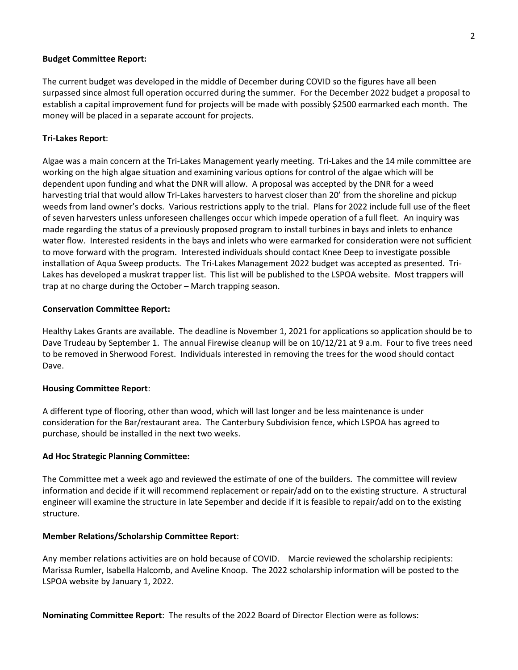#### **Budget Committee Report:**

The current budget was developed in the middle of December during COVID so the figures have all been surpassed since almost full operation occurred during the summer. For the December 2022 budget a proposal to establish a capital improvement fund for projects will be made with possibly \$2500 earmarked each month. The money will be placed in a separate account for projects.

#### **Tri-Lakes Report**:

Algae was a main concern at the Tri-Lakes Management yearly meeting. Tri-Lakes and the 14 mile committee are working on the high algae situation and examining various options for control of the algae which will be dependent upon funding and what the DNR will allow. A proposal was accepted by the DNR for a weed harvesting trial that would allow Tri-Lakes harvesters to harvest closer than 20' from the shoreline and pickup weeds from land owner's docks. Various restrictions apply to the trial. Plans for 2022 include full use of the fleet of seven harvesters unless unforeseen challenges occur which impede operation of a full fleet. An inquiry was made regarding the status of a previously proposed program to install turbines in bays and inlets to enhance water flow. Interested residents in the bays and inlets who were earmarked for consideration were not sufficient to move forward with the program. Interested individuals should contact Knee Deep to investigate possible installation of Aqua Sweep products. The Tri-Lakes Management 2022 budget was accepted as presented. Tri-Lakes has developed a muskrat trapper list. This list will be published to the LSPOA website. Most trappers will trap at no charge during the October – March trapping season.

#### **Conservation Committee Report:**

Healthy Lakes Grants are available. The deadline is November 1, 2021 for applications so application should be to Dave Trudeau by September 1. The annual Firewise cleanup will be on 10/12/21 at 9 a.m. Four to five trees need to be removed in Sherwood Forest. Individuals interested in removing the trees for the wood should contact Dave.

#### **Housing Committee Report**:

A different type of flooring, other than wood, which will last longer and be less maintenance is under consideration for the Bar/restaurant area. The Canterbury Subdivision fence, which LSPOA has agreed to purchase, should be installed in the next two weeks.

#### **Ad Hoc Strategic Planning Committee:**

The Committee met a week ago and reviewed the estimate of one of the builders. The committee will review information and decide if it will recommend replacement or repair/add on to the existing structure. A structural engineer will examine the structure in late Sepember and decide if it is feasible to repair/add on to the existing structure.

#### **Member Relations/Scholarship Committee Report**:

Any member relations activities are on hold because of COVID. Marcie reviewed the scholarship recipients: Marissa Rumler, Isabella Halcomb, and Aveline Knoop. The 2022 scholarship information will be posted to the LSPOA website by January 1, 2022.

**Nominating Committee Report**: The results of the 2022 Board of Director Election were as follows: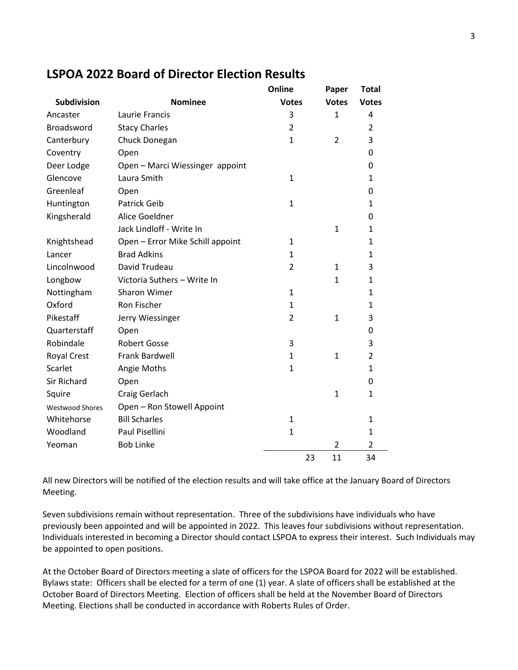# **LSPOA 2022 Board of Director Election Results**

|                        |                                  | Online         |    | Paper          | <b>Total</b>   |
|------------------------|----------------------------------|----------------|----|----------------|----------------|
| <b>Subdivision</b>     | <b>Nominee</b>                   | <b>Votes</b>   |    | <b>Votes</b>   | <b>Votes</b>   |
| Ancaster               | Laurie Francis                   | 3              |    | 1              | 4              |
| <b>Broadsword</b>      | <b>Stacy Charles</b>             | $\overline{2}$ |    |                | 2              |
| Canterbury             | Chuck Donegan                    | $\mathbf{1}$   |    | 2              | 3              |
| Coventry               | Open                             |                |    |                | 0              |
| Deer Lodge             | Open - Marci Wiessinger appoint  |                |    |                | 0              |
| Glencove               | Laura Smith                      | 1              |    |                | $\mathbf{1}$   |
| Greenleaf              | Open                             |                |    |                | 0              |
| Huntington             | <b>Patrick Geib</b>              | $\mathbf{1}$   |    |                | $\mathbf{1}$   |
| Kingsherald            | Alice Goeldner                   |                |    |                | 0              |
|                        | Jack Lindloff - Write In         |                |    | $\mathbf{1}$   | $\mathbf{1}$   |
| Knightshead            | Open - Error Mike Schill appoint | 1              |    |                | $\mathbf{1}$   |
| Lancer                 | <b>Brad Adkins</b>               | $\mathbf{1}$   |    |                | $\mathbf{1}$   |
| Lincolnwood            | David Trudeau                    | $\overline{2}$ |    | $\mathbf{1}$   | 3              |
| Longbow                | Victoria Suthers - Write In      |                |    | $\mathbf{1}$   | $\mathbf{1}$   |
| Nottingham             | <b>Sharon Wimer</b>              | 1              |    |                | 1              |
| Oxford                 | <b>Ron Fischer</b>               | $\mathbf{1}$   |    |                | $\mathbf{1}$   |
| Pikestaff              | Jerry Wiessinger                 | $\overline{2}$ |    | $\mathbf{1}$   | 3              |
| Quarterstaff           | Open                             |                |    |                | 0              |
| Robindale              | <b>Robert Gosse</b>              | 3              |    |                | 3              |
| <b>Royal Crest</b>     | Frank Bardwell                   | 1              |    | 1              | $\overline{2}$ |
| Scarlet                | Angie Moths                      | $\mathbf{1}$   |    |                | $\mathbf{1}$   |
| <b>Sir Richard</b>     | Open                             |                |    |                | 0              |
| Squire                 | Craig Gerlach                    |                |    | 1              | $\mathbf{1}$   |
| <b>Westwood Shores</b> | Open - Ron Stowell Appoint       |                |    |                |                |
| Whitehorse             | <b>Bill Scharles</b>             | $\mathbf{1}$   |    |                | $\mathbf{1}$   |
| Woodland               | Paul Pisellini                   | $\mathbf{1}$   |    |                | $\mathbf{1}$   |
| Yeoman                 | <b>Bob Linke</b>                 |                |    | $\overline{2}$ | $\overline{2}$ |
|                        |                                  |                | 23 | 11             | 34             |

All new Directors will be notified of the election results and will take office at the January Board of Directors Meeting.

Seven subdivisions remain without representation. Three of the subdivisions have individuals who have previously been appointed and will be appointed in 2022. This leaves four subdivisions without representation. Individuals interested in becoming a Director should contact LSPOA to express their interest. Such Individuals may be appointed to open positions.

At the October Board of Directors meeting a slate of officers for the LSPOA Board for 2022 will be established. Bylaws state: Officers shall be elected for a term of one (1) year. A slate of officers shall be established at the October Board of Directors Meeting. Election of officers shall be held at the November Board of Directors Meeting. Elections shall be conducted in accordance with Roberts Rules of Order.